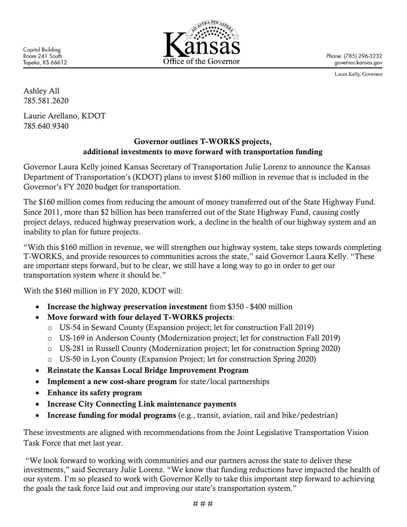**Capitol Building** Room 241 South Topeka, KS 66612



Phone: (785) 296-3232 governor.kansas.gov

Laura Kelly, Governor

Ashley All 785.581.2620

Laurie Arellano, KDOT 785.640.9340

## Governor outlines T-WORKS projects, additional investments to move forward with transportation funding

Governor Laura Kelly joined Kansas Secretary of Transportation Julie Lorenz to announce the Kansas Department of Transportation's (KDOT) plans to invest \$160 million in revenue that is included in the Governor's FY 2020 budget for transportation.

The \$160 million comes from reducing the amount of money transferred out of the State Highway Fund. Since 2011, more than \$2 billion has been transferred out of the State Highway Fund, causing costly project delays, reduced highway preservation work, a decline in the health of our highway system and an inability to plan for future projects.

"With this \$160 million in revenue, we will strengthen our highway system, take steps towards completing T-WORKS, and provide resources to communities across the state," said Governor Laura Kelly. "These are important steps forward, but to be clear, we still have a long way to go in order to get our transportation system where it should be."

With the \$160 million in FY 2020, KDOT will:

- Increase the highway preservation investment from \$350 \$400 million
- Move forward with four delayed T-WORKS projects:
	- o US-54 in Seward County (Expansion project; let for construction Fall 2019)
	- o US-169 in Anderson County (Modernization project; let for construction Fall 2019)
	- o US-281 in Russell County (Modernization project; let for construction Spring 2020)
	- o US-50 in Lyon County (Expansion Project; let for construction Spring 2020)
- Reinstate the Kansas Local Bridge Improvement Program
- Implement a new cost-share program for state/local partnerships
- Enhance its safety program
- Increase City Connecting Link maintenance payments
- Increase funding for modal programs (e.g., transit, aviation, rail and bike/pedestrian)

These investments are aligned with recommendations from the Joint Legislative Transportation Vision Task Force that met last year.

"We look forward to working with communities and our partners across the state to deliver these investments," said Secretary Julie Lorenz. "We know that funding reductions have impacted the health of our system. I'm so pleased to work with Governor Kelly to take this important step forward to achieving the goals the task force laid out and improving our state's transportation system."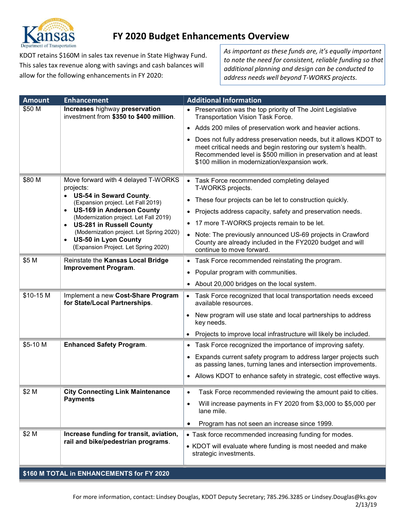

# FY 2020 Budget Enhancements Overview

KDOT retains \$160M in sales tax revenue in State Highway Fund. This sales tax revenue along with savings and cash balances will allow for the following enhancements in FY 2020:

As important as these funds are, it's equally important to note the need for consistent, reliable funding so that additional planning and design can be conducted to address needs well beyond T-WORKS projects.

| <b>Amount</b>                             | <b>Enhancement</b>                                                                                                                                                                                                                                                                                                                                     | <b>Additional Information</b>                                                                                                                                                                                                                                                                                                                         |
|-------------------------------------------|--------------------------------------------------------------------------------------------------------------------------------------------------------------------------------------------------------------------------------------------------------------------------------------------------------------------------------------------------------|-------------------------------------------------------------------------------------------------------------------------------------------------------------------------------------------------------------------------------------------------------------------------------------------------------------------------------------------------------|
| \$50 M                                    | Increases highway preservation<br>investment from \$350 to \$400 million.                                                                                                                                                                                                                                                                              | • Preservation was the top priority of The Joint Legislative<br>Transportation Vision Task Force.                                                                                                                                                                                                                                                     |
|                                           |                                                                                                                                                                                                                                                                                                                                                        | Adds 200 miles of preservation work and heavier actions.<br>$\bullet$                                                                                                                                                                                                                                                                                 |
|                                           |                                                                                                                                                                                                                                                                                                                                                        | Does not fully address preservation needs, but it allows KDOT to<br>meet critical needs and begin restoring our system's health.<br>Recommended level is \$500 million in preservation and at least<br>\$100 million in modernization/expansion work.                                                                                                 |
| \$80 M                                    | Move forward with 4 delayed T-WORKS<br>projects:<br>• US-54 in Seward County.<br>(Expansion project. Let Fall 2019)<br><b>US-169 in Anderson County</b><br>$\bullet$<br>(Modernization project. Let Fall 2019)<br><b>US-281 in Russell County</b><br>$\bullet$<br>(Modernization project. Let Spring 2020)<br><b>US-50 in Lyon County</b><br>$\bullet$ | Task Force recommended completing delayed<br>$\bullet$<br>T-WORKS projects.<br>These four projects can be let to construction quickly.<br>$\bullet$<br>Projects address capacity, safety and preservation needs.<br>$\bullet$<br>17 more T-WORKS projects remain to be let.<br>Note: The previously announced US-69 projects in Crawford<br>$\bullet$ |
|                                           | (Expansion Project. Let Spring 2020)                                                                                                                                                                                                                                                                                                                   | County are already included in the FY2020 budget and will<br>continue to move forward.                                                                                                                                                                                                                                                                |
| \$5 M                                     | Reinstate the Kansas Local Bridge                                                                                                                                                                                                                                                                                                                      | Task Force recommended reinstating the program.<br>$\bullet$                                                                                                                                                                                                                                                                                          |
|                                           | <b>Improvement Program.</b>                                                                                                                                                                                                                                                                                                                            | Popular program with communities.<br>$\bullet$                                                                                                                                                                                                                                                                                                        |
|                                           |                                                                                                                                                                                                                                                                                                                                                        | • About 20,000 bridges on the local system.                                                                                                                                                                                                                                                                                                           |
| \$10-15 M                                 | Implement a new Cost-Share Program<br>for State/Local Partnerships.                                                                                                                                                                                                                                                                                    | • Task Force recognized that local transportation needs exceed<br>available resources.                                                                                                                                                                                                                                                                |
|                                           |                                                                                                                                                                                                                                                                                                                                                        | New program will use state and local partnerships to address<br>key needs.                                                                                                                                                                                                                                                                            |
|                                           |                                                                                                                                                                                                                                                                                                                                                        | Projects to improve local infrastructure will likely be included.                                                                                                                                                                                                                                                                                     |
| \$5-10 M                                  | <b>Enhanced Safety Program.</b>                                                                                                                                                                                                                                                                                                                        | Task Force recognized the importance of improving safety.                                                                                                                                                                                                                                                                                             |
|                                           |                                                                                                                                                                                                                                                                                                                                                        | Expands current safety program to address larger projects such<br>$\bullet$<br>as passing lanes, turning lanes and intersection improvements.                                                                                                                                                                                                         |
|                                           |                                                                                                                                                                                                                                                                                                                                                        | Allows KDOT to enhance safety in strategic, cost effective ways.<br>$\bullet$                                                                                                                                                                                                                                                                         |
| \$2 M                                     | <b>City Connecting Link Maintenance</b>                                                                                                                                                                                                                                                                                                                | Task Force recommended reviewing the amount paid to cities.<br>$\bullet$                                                                                                                                                                                                                                                                              |
|                                           | <b>Payments</b>                                                                                                                                                                                                                                                                                                                                        | Will increase payments in FY 2020 from \$3,000 to \$5,000 per<br>$\bullet$<br>lane mile.                                                                                                                                                                                                                                                              |
|                                           |                                                                                                                                                                                                                                                                                                                                                        | Program has not seen an increase since 1999.<br>٠                                                                                                                                                                                                                                                                                                     |
| \$2 M                                     | Increase funding for transit, aviation,                                                                                                                                                                                                                                                                                                                | • Task force recommended increasing funding for modes.                                                                                                                                                                                                                                                                                                |
|                                           | rail and bike/pedestrian programs.                                                                                                                                                                                                                                                                                                                     | • KDOT will evaluate where funding is most needed and make<br>strategic investments.                                                                                                                                                                                                                                                                  |
| \$160 M TOTAL in ENHANCEMENTS for FY 2020 |                                                                                                                                                                                                                                                                                                                                                        |                                                                                                                                                                                                                                                                                                                                                       |